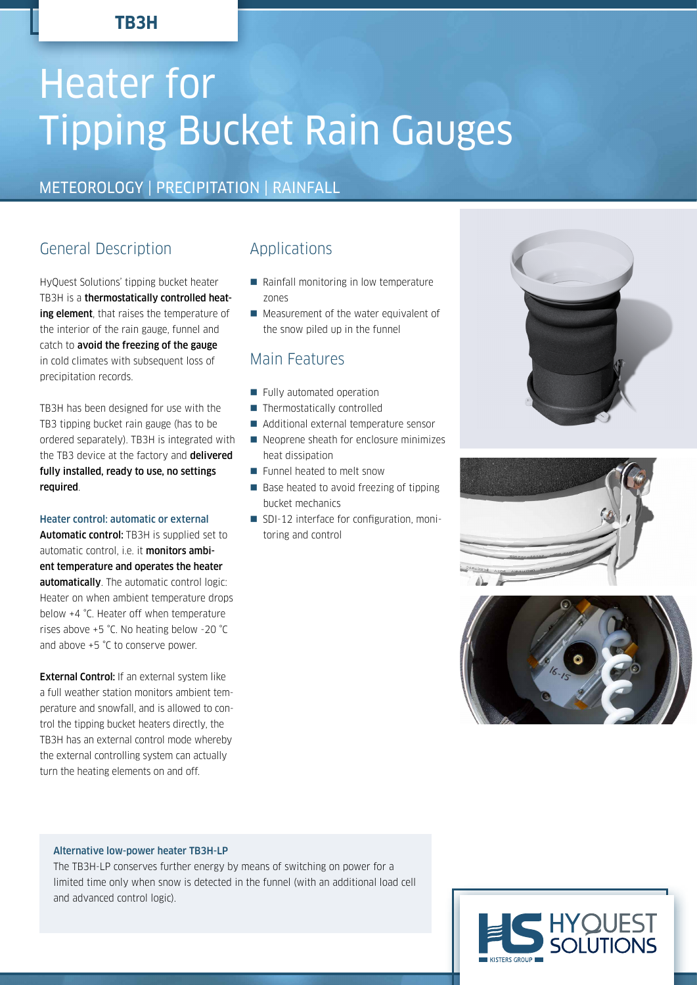# **TB3H**

# Heater for Tipping Bucket Rain Gauges

# METEOROLOGY | PRECIPITATION | RAINFALL

# General Description

HyQuest Solutions' tipping bucket heater TB3H is a thermostatically controlled heating element, that raises the temperature of the interior of the rain gauge, funnel and catch to avoid the freezing of the gauge in cold climates with subsequent loss of precipitation records.

TB3H has been designed for use with the TB3 tipping bucket rain gauge (has to be ordered separately). TB3H is integrated with the TB3 device at the factory and delivered fully installed, ready to use, no settings required.

#### Heater control: automatic or external

Automatic control: TB3H is supplied set to automatic control, i.e. it monitors ambient temperature and operates the heater automatically. The automatic control logic: Heater on when ambient temperature drops below +4 °C. Heater off when temperature rises above +5 °C. No heating below -20 °C and above +5 °C to conserve power.

**External Control:** If an external system like a full weather station monitors ambient temperature and snowfall, and is allowed to control the tipping bucket heaters directly, the TB3H has an external control mode whereby the external controlling system can actually turn the heating elements on and off.

## Applications

- Rainfall monitoring in low temperature zones
- **Measurement of the water equivalent of** the snow piled up in the funnel

## Main Features

- Fully automated operation
- $\blacksquare$  Thermostatically controlled
- Additional external temperature sensor
- Neoprene sheath for enclosure minimizes heat dissipation
- **Funnel heated to melt snow**
- Base heated to avoid freezing of tipping bucket mechanics
- **SDI-12** interface for configuration, monitoring and control







#### Alternative low-power heater TB3H-LP

The TB3H-LP conserves further energy by means of switching on power for a limited time only when snow is detected in the funnel (with an additional load cell and advanced control logic).